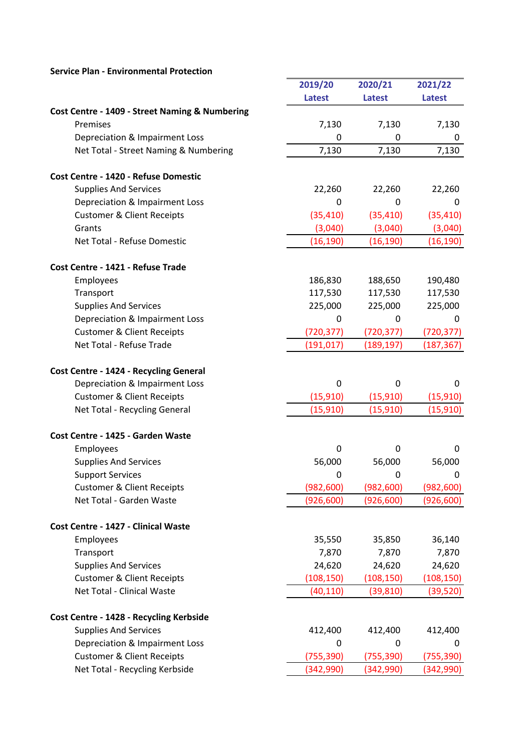|                                                | 2019/20         | 2020/21       | 2021/22       |
|------------------------------------------------|-----------------|---------------|---------------|
|                                                | <b>Latest</b>   | <b>Latest</b> | <b>Latest</b> |
| Cost Centre - 1409 - Street Naming & Numbering |                 |               |               |
| Premises                                       | 7,130           | 7,130         | 7,130         |
| Depreciation & Impairment Loss                 | 0               | 0             | 0             |
| Net Total - Street Naming & Numbering          | 7,130           | 7,130         | 7,130         |
|                                                |                 |               |               |
| Cost Centre - 1420 - Refuse Domestic           |                 |               |               |
| <b>Supplies And Services</b>                   | 22,260          | 22,260        | 22,260        |
| Depreciation & Impairment Loss                 | 0               | 0             | 0             |
| <b>Customer &amp; Client Receipts</b>          | (35, 410)       | (35, 410)     | (35, 410)     |
| Grants                                         | (3,040)         | (3,040)       | (3,040)       |
| Net Total - Refuse Domestic                    | (16, 190)       | (16, 190)     | (16,190)      |
| Cost Centre - 1421 - Refuse Trade              |                 |               |               |
| Employees                                      | 186,830         | 188,650       | 190,480       |
| Transport                                      | 117,530         | 117,530       | 117,530       |
| <b>Supplies And Services</b>                   | 225,000         | 225,000       | 225,000       |
| Depreciation & Impairment Loss                 | 0               | 0             | 0             |
| <b>Customer &amp; Client Receipts</b>          | (720, 377)      | (720, 377)    | (720,377)     |
| Net Total - Refuse Trade                       | (191, 017)      | (189, 197)    | (187, 367)    |
|                                                |                 |               |               |
| Cost Centre - 1424 - Recycling General         |                 |               |               |
| Depreciation & Impairment Loss                 | $\mathbf 0$     | 0             | 0             |
| <b>Customer &amp; Client Receipts</b>          | (15, 910)       | (15, 910)     | (15, 910)     |
| Net Total - Recycling General                  | (15, 910)       | (15, 910)     | (15, 910)     |
| Cost Centre - 1425 - Garden Waste              |                 |               |               |
| Employees                                      | 0               | 0             | 0             |
| <b>Supplies And Services</b>                   | 56,000          | 56,000        | 56,000        |
| <b>Support Services</b>                        | 0               | $\mathbf 0$   | 0             |
| <b>Customer &amp; Client Receipts</b>          | (982, 600)      | (982, 600)    | (982, 600)    |
| Net Total - Garden Waste                       | (926, 600)      | (926, 600)    | (926, 600)    |
| Cost Centre - 1427 - Clinical Waste            |                 |               |               |
|                                                |                 |               |               |
| Employees                                      | 35,550<br>7,870 | 35,850        | 36,140        |
| Transport                                      |                 | 7,870         | 7,870         |
| <b>Supplies And Services</b>                   | 24,620          | 24,620        | 24,620        |
| <b>Customer &amp; Client Receipts</b>          | (108, 150)      | (108, 150)    | (108, 150)    |
| Net Total - Clinical Waste                     | (40, 110)       | (39, 810)     | (39, 520)     |
| Cost Centre - 1428 - Recycling Kerbside        |                 |               |               |
| <b>Supplies And Services</b>                   | 412,400         | 412,400       | 412,400       |
| Depreciation & Impairment Loss                 | 0               | 0             | 0             |
| <b>Customer &amp; Client Receipts</b>          | (755, 390)      | (755, 390)    | (755, 390)    |
| Net Total - Recycling Kerbside                 | (342,990)       | (342,990)     | (342,990)     |
|                                                |                 |               |               |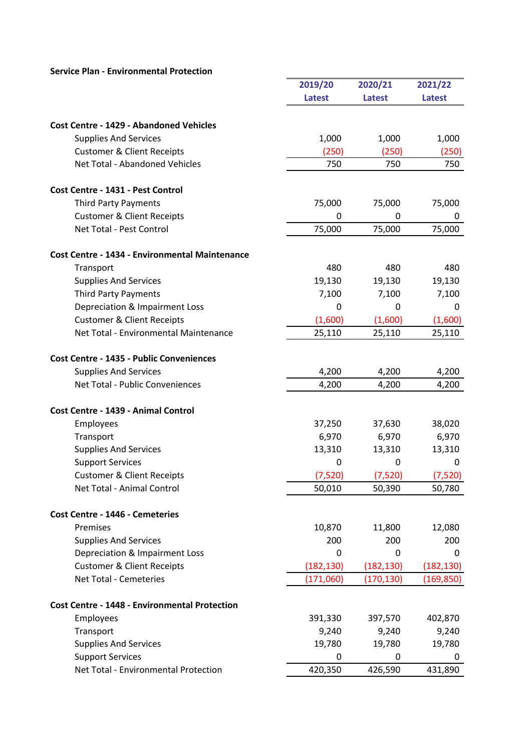|                                                       | 2019/20       | 2020/21       | 2021/22       |
|-------------------------------------------------------|---------------|---------------|---------------|
|                                                       | <b>Latest</b> | <b>Latest</b> | <b>Latest</b> |
|                                                       |               |               |               |
| <b>Cost Centre - 1429 - Abandoned Vehicles</b>        |               |               |               |
| <b>Supplies And Services</b>                          | 1,000         | 1,000         | 1,000         |
| <b>Customer &amp; Client Receipts</b>                 | (250)         | (250)         | (250)         |
| Net Total - Abandoned Vehicles                        | 750           | 750           | 750           |
| Cost Centre - 1431 - Pest Control                     |               |               |               |
| <b>Third Party Payments</b>                           | 75,000        | 75,000        | 75,000        |
| <b>Customer &amp; Client Receipts</b>                 | 0             | $\Omega$      | 0             |
| Net Total - Pest Control                              | 75,000        | 75,000        | 75,000        |
| <b>Cost Centre - 1434 - Environmental Maintenance</b> |               |               |               |
| Transport                                             | 480           | 480           | 480           |
| <b>Supplies And Services</b>                          | 19,130        | 19,130        | 19,130        |
| <b>Third Party Payments</b>                           | 7,100         | 7,100         | 7,100         |
| Depreciation & Impairment Loss                        | 0             | 0             | 0             |
| <b>Customer &amp; Client Receipts</b>                 | (1,600)       | (1,600)       | (1,600)       |
| Net Total - Environmental Maintenance                 | 25,110        | 25,110        | 25,110        |
| Cost Centre - 1435 - Public Conveniences              |               |               |               |
| <b>Supplies And Services</b>                          | 4,200         | 4,200         | 4,200         |
| Net Total - Public Conveniences                       | 4,200         | 4,200         | 4,200         |
|                                                       |               |               |               |
| Cost Centre - 1439 - Animal Control                   |               |               |               |
| Employees                                             | 37,250        | 37,630        | 38,020        |
| Transport                                             | 6,970         | 6,970         | 6,970         |
| <b>Supplies And Services</b>                          | 13,310        | 13,310        | 13,310        |
| <b>Support Services</b>                               | 0             | 0             | 0             |
| <b>Customer &amp; Client Receipts</b>                 | (7,520)       | (7,520)       | (7,520)       |
| Net Total - Animal Control                            | 50,010        | 50,390        | 50,780        |
| Cost Centre - 1446 - Cemeteries                       |               |               |               |
| Premises                                              | 10,870        | 11,800        | 12,080        |
| <b>Supplies And Services</b>                          | 200           | 200           | 200           |
| Depreciation & Impairment Loss                        | 0             | 0             | 0             |
| <b>Customer &amp; Client Receipts</b>                 | (182, 130)    | (182, 130)    | (182, 130)    |
| <b>Net Total - Cemeteries</b>                         | (171,060)     | (170, 130)    | (169, 850)    |
| <b>Cost Centre - 1448 - Environmental Protection</b>  |               |               |               |
| Employees                                             | 391,330       | 397,570       | 402,870       |
| Transport                                             | 9,240         | 9,240         | 9,240         |
| <b>Supplies And Services</b>                          | 19,780        | 19,780        | 19,780        |
| <b>Support Services</b>                               | 0             | 0             | 0             |
| Net Total - Environmental Protection                  | 420,350       | 426,590       | 431,890       |
|                                                       |               |               |               |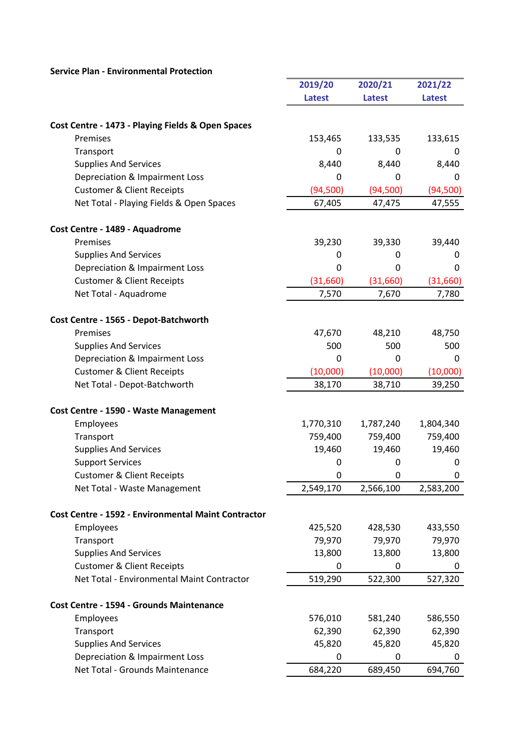|                                                            | 2019/20       | 2020/21       | 2021/22       |
|------------------------------------------------------------|---------------|---------------|---------------|
|                                                            | <b>Latest</b> | <b>Latest</b> | <b>Latest</b> |
|                                                            |               |               |               |
| Cost Centre - 1473 - Playing Fields & Open Spaces          |               |               |               |
| Premises                                                   | 153,465       | 133,535       | 133,615       |
| Transport                                                  | 0             | 0             | 0             |
| <b>Supplies And Services</b>                               | 8,440         | 8,440         | 8,440         |
| Depreciation & Impairment Loss                             | $\Omega$      | 0             | 0             |
| <b>Customer &amp; Client Receipts</b>                      | (94, 500)     | (94, 500)     | (94, 500)     |
| Net Total - Playing Fields & Open Spaces                   | 67,405        | 47,475        | 47,555        |
|                                                            |               |               |               |
| Cost Centre - 1489 - Aquadrome                             |               |               |               |
| Premises                                                   | 39,230        | 39,330        | 39,440        |
| <b>Supplies And Services</b>                               | 0             | 0             | 0             |
| Depreciation & Impairment Loss                             | 0             | 0             | 0             |
| <b>Customer &amp; Client Receipts</b>                      | (31,660)      | (31,660)      | (31,660)      |
| Net Total - Aquadrome                                      | 7,570         | 7,670         | 7,780         |
|                                                            |               |               |               |
| Cost Centre - 1565 - Depot-Batchworth                      |               |               |               |
| Premises                                                   | 47,670        | 48,210        | 48,750        |
| <b>Supplies And Services</b>                               | 500           | 500           | 500           |
| Depreciation & Impairment Loss                             | $\Omega$      | 0             | 0             |
| <b>Customer &amp; Client Receipts</b>                      | (10,000)      | (10,000)      | (10,000)      |
| Net Total - Depot-Batchworth                               | 38,170        | 38,710        | 39,250        |
| Cost Centre - 1590 - Waste Management                      |               |               |               |
| Employees                                                  | 1,770,310     | 1,787,240     | 1,804,340     |
| Transport                                                  | 759,400       | 759,400       | 759,400       |
| <b>Supplies And Services</b>                               | 19,460        | 19,460        | 19,460        |
| <b>Support Services</b>                                    | 0             | 0             | 0             |
| <b>Customer &amp; Client Receipts</b>                      | 0             | $\mathbf 0$   | 0             |
| Net Total - Waste Management                               | 2,549,170     | 2,566,100     | 2,583,200     |
|                                                            |               |               |               |
| <b>Cost Centre - 1592 - Environmental Maint Contractor</b> |               |               |               |
| Employees                                                  | 425,520       | 428,530       | 433,550       |
| Transport                                                  | 79,970        | 79,970        | 79,970        |
| <b>Supplies And Services</b>                               | 13,800        | 13,800        | 13,800        |
| <b>Customer &amp; Client Receipts</b>                      | $\mathbf 0$   | 0             | 0             |
| Net Total - Environmental Maint Contractor                 | 519,290       | 522,300       | 527,320       |
|                                                            |               |               |               |
| <b>Cost Centre - 1594 - Grounds Maintenance</b>            |               |               |               |
| Employees                                                  | 576,010       | 581,240       | 586,550       |
| Transport                                                  | 62,390        | 62,390        | 62,390        |
| <b>Supplies And Services</b>                               | 45,820        | 45,820        | 45,820        |
| Depreciation & Impairment Loss                             | 0             | 0             | 0             |
| Net Total - Grounds Maintenance                            | 684,220       | 689,450       | 694,760       |

a.